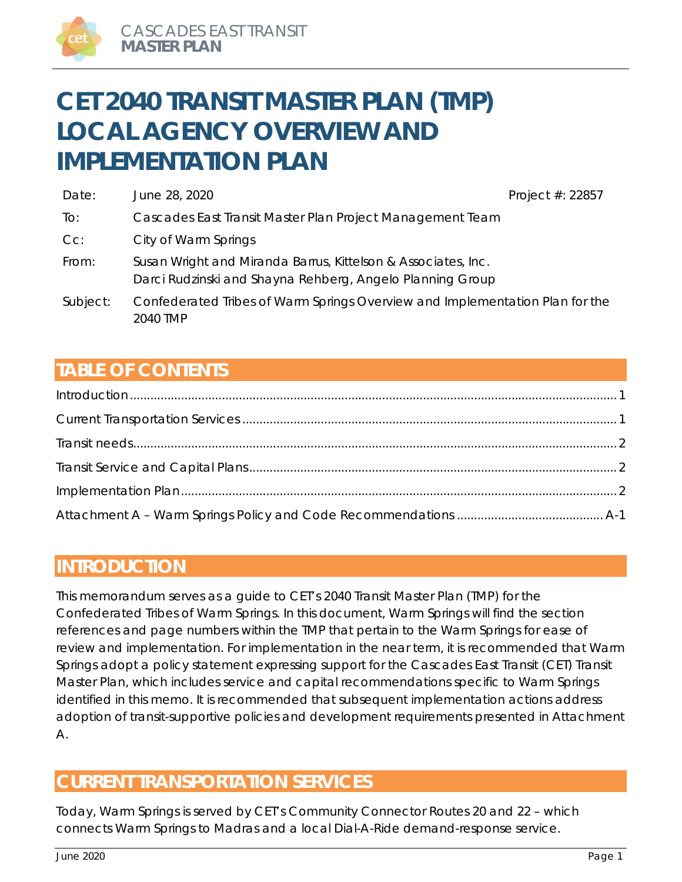# **CET 2040 TRANSIT MASTER PLAN (TMP) LOCAL AGENCY OVERVIEW AND IMPLEMENTATION PLAN**

| Date:    | June 28, 2020                                                                                                              | Project #: 22857 |
|----------|----------------------------------------------------------------------------------------------------------------------------|------------------|
| To:      | Cascades East Transit Master Plan Project Management Team                                                                  |                  |
| $Cc$ :   | City of Warm Springs                                                                                                       |                  |
| From:    | Susan Wright and Miranda Barrus, Kittelson & Associates, Inc.<br>Darci Rudzinski and Shayna Rehberg, Angelo Planning Group |                  |
| Subject: | Confederated Tribes of Warm Springs Overview and Implementation Plan for the<br>2040 TMP                                   |                  |

# **TABLE OF CONTENTS**

# **INTRODUCTION**

This memorandum serves as a guide to CET's 2040 Transit Master Plan (TMP) for the Confederated Tribes of Warm Springs. In this document, Warm Springs will find the section references and page numbers within the TMP that pertain to the Warm Springs for ease of review and implementation. For implementation in the near term, it is recommended that Warm Springs adopt a policy statement expressing support for the Cascades East Transit (CET) Transit Master Plan, which includes service and capital recommendations specific to Warm Springs identified in this memo. It is recommended that subsequent implementation actions address adoption of transit-supportive policies and development requirements presented in Attachment A.

# **CURRENT TRANSPORTATION SERVICES**

Today, Warm Springs is served by CET's Community Connector Routes 20 and 22 – which connects Warm Springs to Madras and a local Dial-A-Ride demand-response service.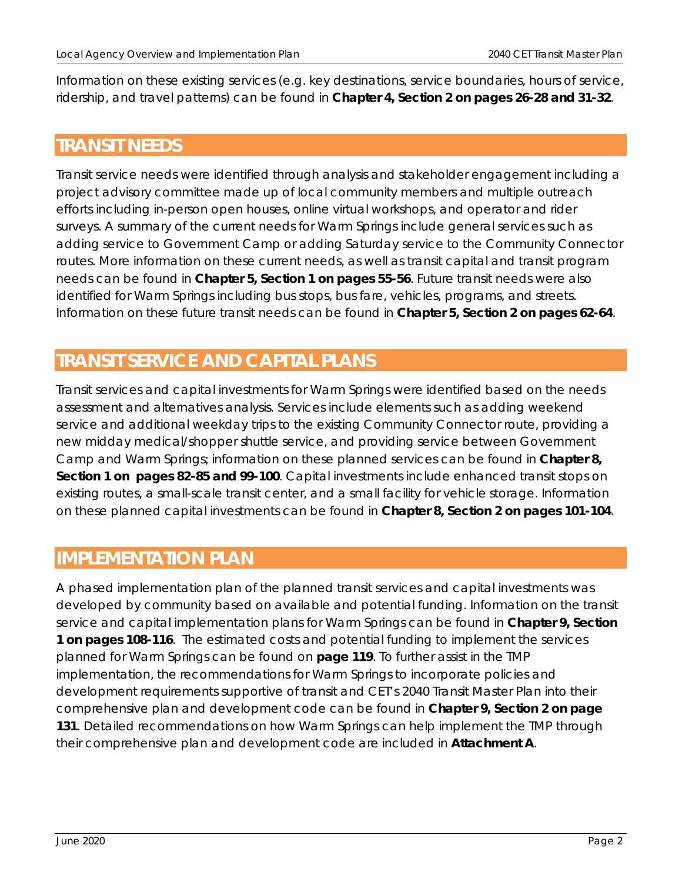Information on these existing services (e.g. key destinations, service boundaries, hours of service, ridership, and travel patterns) can be found in **Chapter 4, Section 2 on pages 26-28 and 31-32**.

# **TRANSIT NEEDS**

Transit service needs were identified through analysis and stakeholder engagement including a project advisory committee made up of local community members and multiple outreach efforts including in-person open houses, online virtual workshops, and operator and rider surveys. A summary of the current needs for Warm Springs include general services such as adding service to Government Camp or adding Saturday service to the Community Connector routes. More information on these current needs, as well as transit capital and transit program needs can be found in **Chapter 5, Section 1 on pages 55-56**. Future transit needs were also identified for Warm Springs including bus stops, bus fare, vehicles, programs, and streets. Information on these future transit needs can be found in **Chapter 5, Section 2 on pages 62-64**.

# **TRANSIT SERVICE AND CAPITAL PLANS**

Transit services and capital investments for Warm Springs were identified based on the needs assessment and alternatives analysis. Services include elements such as adding weekend service and additional weekday trips to the existing Community Connector route, providing a new midday medical/shopper shuttle service, and providing service between Government Camp and Warm Springs; information on these planned services can be found in **Chapter 8, Section 1 on pages 82-85 and 99-100**. Capital investments include enhanced transit stops on existing routes, a small-scale transit center, and a small facility for vehicle storage. Information on these planned capital investments can be found in **Chapter 8, Section 2 on pages 101-104**.

# **IMPLEMENTATION PLAN**

A phased implementation plan of the planned transit services and capital investments was developed by community based on available and potential funding. Information on the transit service and capital implementation plans for Warm Springs can be found in **Chapter 9, Section 1 on pages 108-116**. The estimated costs and potential funding to implement the services planned for Warm Springs can be found on **page 119**. To further assist in the TMP implementation, the recommendations for Warm Springs to incorporate policies and development requirements supportive of transit and CET's 2040 Transit Master Plan into their comprehensive plan and development code can be found in **Chapter 9, Section 2 on page 131**. Detailed recommendations on how Warm Springs can help implement the TMP through their comprehensive plan and development code are included in **Attachment A**.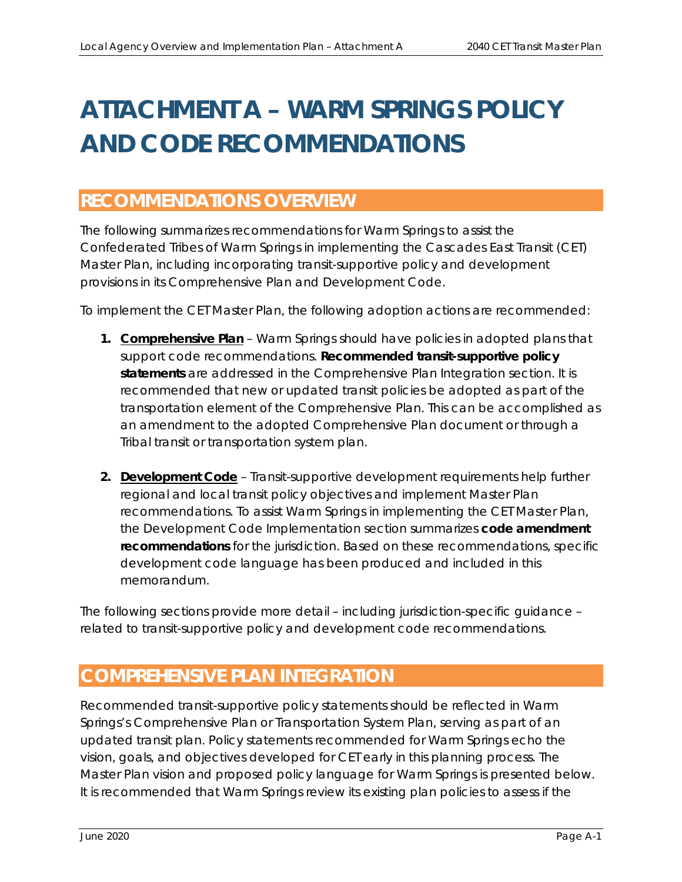# **ATTACHMENT A – WARM SPRINGS POLICY AND CODE RECOMMENDATIONS**

# **RECOMMENDATIONS OVERVIEW**

The following summarizes recommendations for Warm Springs to assist the Confederated Tribes of Warm Springs in implementing the Cascades East Transit (CET) Master Plan, including incorporating transit-supportive policy and development provisions in its Comprehensive Plan and Development Code.

To implement the CET Master Plan, the following adoption actions are recommended:

- **1. Comprehensive Plan**  Warm Springs should have policies in adopted plans that support code recommendations. **Recommended transit-supportive policy statements** are addressed in the *Comprehensive Plan Integration* section. It is recommended that new or updated transit policies be adopted as part of the transportation element of the Comprehensive Plan. This can be accomplished as an amendment to the adopted Comprehensive Plan document or through a Tribal transit or transportation system plan.
- **2. Development Code** Transit-supportive development requirements help further regional and local transit policy objectives and implement Master Plan recommendations. To assist Warm Springs in implementing the CET Master Plan, the *Development Code Implementation* section summarizes **code amendment recommendations** for the jurisdiction. Based on these recommendations, specific development code language has been produced and included in this memorandum.

The following sections provide more detail – including jurisdiction-specific guidance – related to transit-supportive policy and development code recommendations.

# **COMPREHENSIVE PLAN INTEGRATION**

Recommended transit-supportive policy statements should be reflected in Warm Springs's Comprehensive Plan or Transportation System Plan, serving as part of an updated transit plan. Policy statements recommended for Warm Springs echo the vision, goals, and objectives developed for CET early in this planning process. The Master Plan vision and proposed policy language for Warm Springs is presented below. It is recommended that Warm Springs review its existing plan policies to assess if the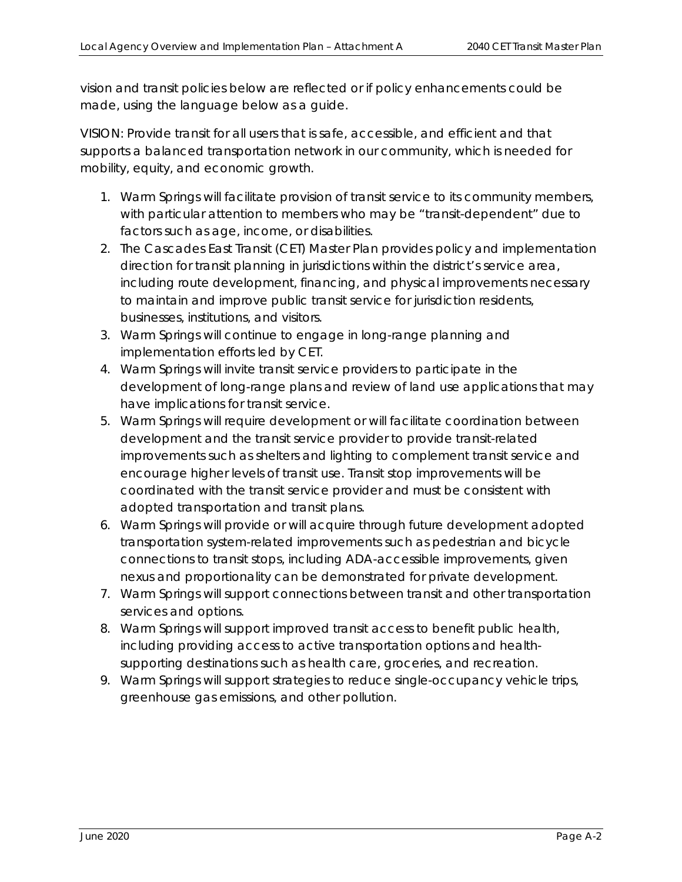vision and transit policies below are reflected or if policy enhancements could be made, using the language below as a guide.

VISION: Provide transit for all users that is safe, accessible, and efficient and that supports a balanced transportation network in our community, which is needed for mobility, equity, and economic growth.

- *1. Warm Springs will facilitate provision of transit service to its community members, with particular attention to members who may be "transit-dependent" due to factors such as age, income, or disabilities.*
- *2. The Cascades East Transit (CET) Master Plan provides policy and implementation direction for transit planning in jurisdictions within the district's service area, including route development, financing, and physical improvements necessary to maintain and improve public transit service for jurisdiction residents, businesses, institutions, and visitors.*
- *3. Warm Springs will continue to engage in long-range planning and implementation efforts led by CET.*
- *4. Warm Springs will invite transit service providers to participate in the development of long-range plans and review of land use applications that may have implications for transit service.*
- *5. Warm Springs will require development or will facilitate coordination between development and the transit service provider to provide transit-related improvements such as shelters and lighting to complement transit service and encourage higher levels of transit use. Transit stop improvements will be coordinated with the transit service provider and must be consistent with adopted transportation and transit plans.*
- *6. Warm Springs will provide or will acquire through future development adopted transportation system-related improvements such as pedestrian and bicycle connections to transit stops, including ADA-accessible improvements, given nexus and proportionality can be demonstrated for private development.*
- *7. Warm Springs will support connections between transit and other transportation services and options.*
- *8. Warm Springs will support improved transit access to benefit public health, including providing access to active transportation options and healthsupporting destinations such as health care, groceries, and recreation.*
- *9. Warm Springs will support strategies to reduce single-occupancy vehicle trips, greenhouse gas emissions, and other pollution.*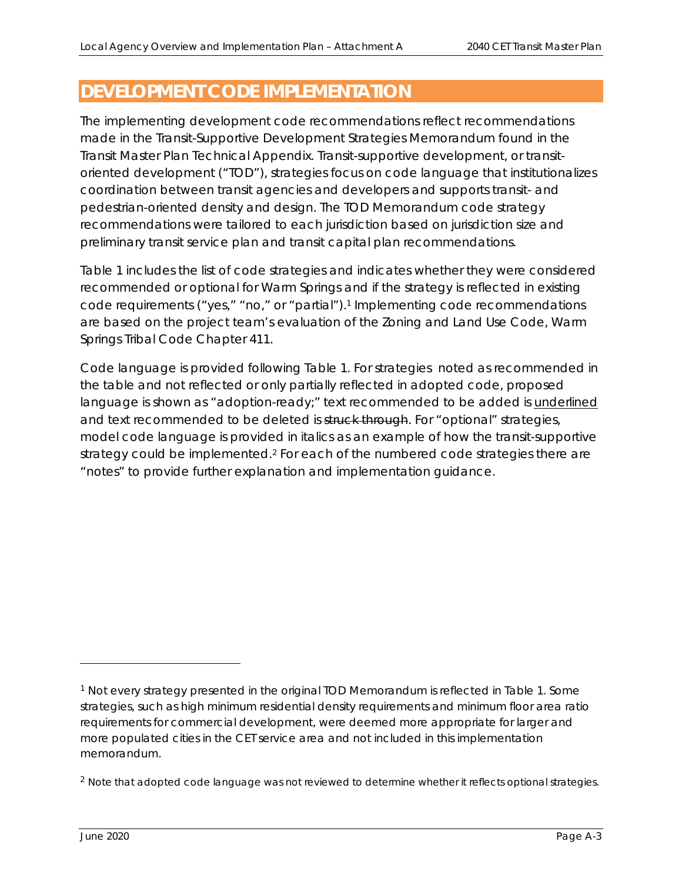# **DEVELOPMENT CODE IMPLEMENTATION**

The implementing development code recommendations reflect recommendations made in the Transit-Supportive Development Strategies Memorandum found in the Transit Master Plan Technical Appendix. Transit-supportive development, or transitoriented development ("TOD"), strategies focus on code language that institutionalizes coordination between transit agencies and developers and supports transit- and pedestrian-oriented density and design. The TOD Memorandum code strategy recommendations were tailored to each jurisdiction based on jurisdiction size and preliminary transit service plan and transit capital plan recommendations.

Table 1 includes the list of code strategies and indicates whether they were considered recommended or optional for Warm Springs and if the strategy is reflected in existing code requirements ("yes," "no," or "partial").<sup>1</sup> Implementing code recommendations are based on the project team's evaluation of the Zoning and Land Use Code, Warm Springs Tribal Code Chapter 411.

Code language is provided following Table 1. For strategies noted as recommended in the table and not reflected or only partially reflected in adopted code, proposed language is shown as "adoption-ready;" text recommended to be added is underlined and text recommended to be deleted is struck through. For "optional" strategies, model code language is provided in *italics* as an example of how the transit-supportive strategy could be implemented.<sup>2</sup> For each of the numbered code strategies there are "notes" to provide further explanation and implementation guidance.

<sup>1</sup> Not every strategy presented in the original TOD Memorandum is reflected in Table 1. Some strategies, such as high minimum residential density requirements and minimum floor area ratio requirements for commercial development, were deemed more appropriate for larger and more populated cities in the CET service area and not included in this implementation memorandum.

<sup>&</sup>lt;sup>2</sup> Note that adopted code language was not reviewed to determine whether it reflects optional strategies.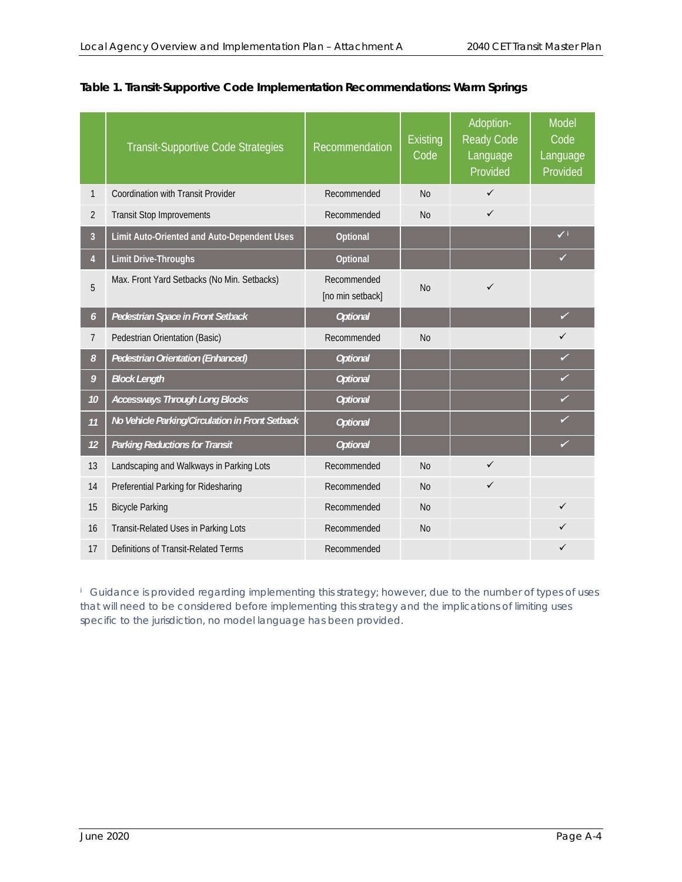|                       | <b>Transit-Supportive Code Strategies</b>       | Recommendation                  | <b>Existing</b><br>Code | Adoption-<br><b>Ready Code</b><br>Language<br>Provided | Model<br>Code<br>Language<br>Provided |
|-----------------------|-------------------------------------------------|---------------------------------|-------------------------|--------------------------------------------------------|---------------------------------------|
| 1                     | Coordination with Transit Provider              | Recommended                     | <b>No</b>               | ✓                                                      |                                       |
| 2                     | <b>Transit Stop Improvements</b>                | Recommended                     | <b>No</b>               | $\checkmark$                                           |                                       |
| $\overline{3}$        | Limit Auto-Oriented and Auto-Dependent Uses     | Optional                        |                         |                                                        | $\checkmark$                          |
| $\overline{4}$        | <b>Limit Drive-Throughs</b>                     | Optional                        |                         |                                                        | ✓                                     |
| 5                     | Max. Front Yard Setbacks (No Min. Setbacks)     | Recommended<br>[no min setback] | <b>No</b>               | ✓                                                      |                                       |
| $\boldsymbol{\delta}$ | Pedestrian Space in Front Setback               | <b>Optional</b>                 |                         |                                                        | ✓                                     |
| $\overline{7}$        | Pedestrian Orientation (Basic)                  | Recommended                     | <b>No</b>               |                                                        | ✓                                     |
| 8                     | <b>Pedestrian Orientation (Enhanced)</b>        | <b>Optional</b>                 |                         |                                                        | ✓                                     |
| 9                     | <b>Block Length</b>                             | <b>Optional</b>                 |                         |                                                        | ✓                                     |
| 10                    | <b>Accessways Through Long Blocks</b>           | <b>Optional</b>                 |                         |                                                        | ✓                                     |
| 11                    | No Vehicle Parking/Circulation in Front Setback | <b>Optional</b>                 |                         |                                                        | ✓                                     |
| 12                    | <b>Parking Reductions for Transit</b>           | <b>Optional</b>                 |                         |                                                        | ✓                                     |
| 13                    | Landscaping and Walkways in Parking Lots        | Recommended                     | <b>No</b>               | $\checkmark$                                           |                                       |
| 14                    | Preferential Parking for Ridesharing            | Recommended                     | <b>No</b>               | ✓                                                      |                                       |
| 15                    | <b>Bicycle Parking</b>                          | Recommended                     | <b>No</b>               |                                                        | ✓                                     |
| 16                    | Transit-Related Uses in Parking Lots            | Recommended                     | N <sub>0</sub>          |                                                        |                                       |
| 17                    | Definitions of Transit-Related Terms            | Recommended                     |                         |                                                        |                                       |

# **Table 1. Transit-Supportive Code Implementation Recommendations: Warm Springs**

<sup>*i*</sup> Guidance is provided regarding implementing this strategy; however, due to the number of types of uses *that will need to be considered before implementing this strategy and the implications of limiting uses specific to the jurisdiction, no model language has been provided.*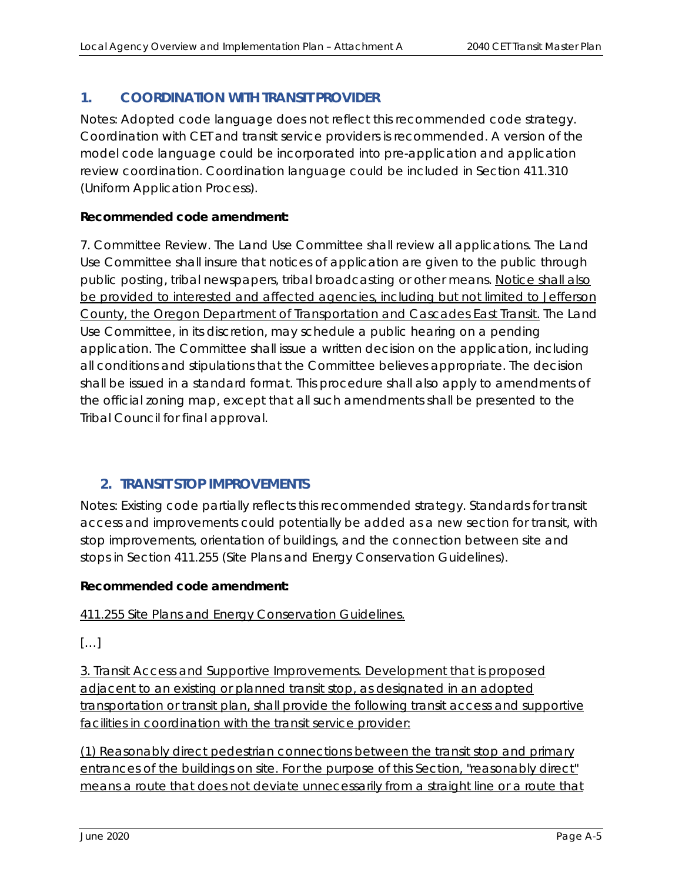# **1. COORDINATION WITH TRANSIT PROVIDER**

Notes: Adopted code language does not reflect this recommended code strategy. Coordination with CET and transit service providers is recommended. A version of the model code language could be incorporated into pre-application and application review coordination. Coordination language could be included in Section 411.310 (Uniform Application Process).

# **Recommended code amendment:**

7. Committee Review. The Land Use Committee shall review all applications. The Land Use Committee shall insure that notices of application are given to the public through public posting, tribal newspapers, tribal broadcasting or other means. Notice shall also be provided to interested and affected agencies, including but not limited to Jefferson County, the Oregon Department of Transportation and Cascades East Transit. The Land Use Committee, in its discretion, may schedule a public hearing on a pending application. The Committee shall issue a written decision on the application, including all conditions and stipulations that the Committee believes appropriate. The decision shall be issued in a standard format. This procedure shall also apply to amendments of the official zoning map, except that all such amendments shall be presented to the Tribal Council for final approval.

# **2. TRANSIT STOP IMPROVEMENTS**

Notes: Existing code partially reflects this recommended strategy. Standards for transit access and improvements could potentially be added as a new section for transit, with stop improvements, orientation of buildings, and the connection between site and stops in Section 411.255 (Site Plans and Energy Conservation Guidelines).

# **Recommended code amendment:**

411.255 Site Plans and Energy Conservation Guidelines.

 $[\ldots]$ 

3. Transit Access and Supportive Improvements. Development that is proposed adjacent to an existing or planned transit stop, as designated in an adopted transportation or transit plan, shall provide the following transit access and supportive facilities in coordination with the transit service provider:

(1) Reasonably direct pedestrian connections between the transit stop and primary entrances of the buildings on site. For the purpose of this Section, "reasonably direct" means a route that does not deviate unnecessarily from a straight line or a route that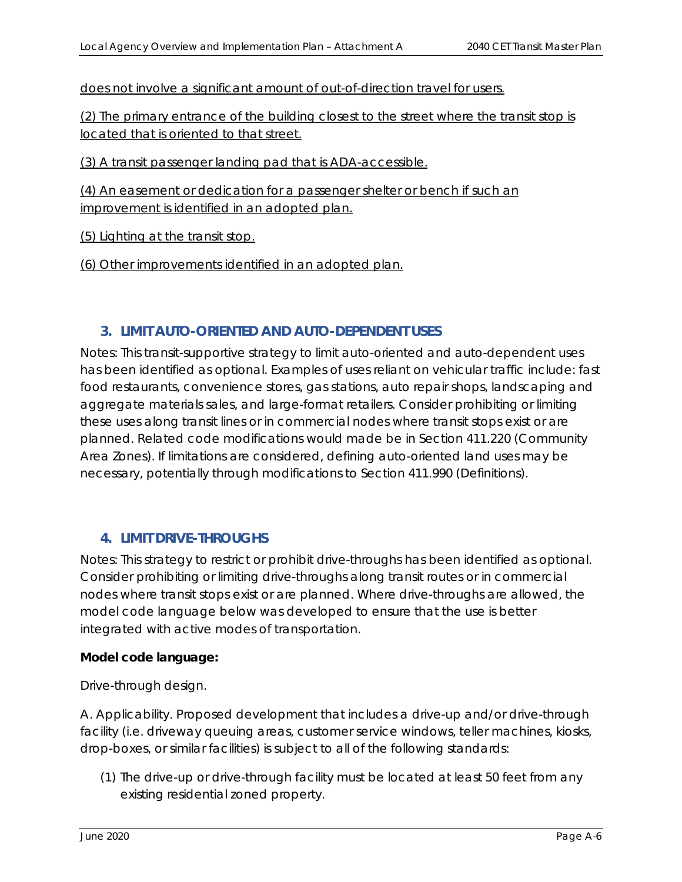does not involve a significant amount of out-of-direction travel for users.

(2) The primary entrance of the building closest to the street where the transit stop is located that is oriented to that street.

(3) A transit passenger landing pad that is ADA-accessible.

(4) An easement or dedication for a passenger shelter or bench if such an improvement is identified in an adopted plan.

(5) Lighting at the transit stop.

(6) Other improvements identified in an adopted plan.

# **3. LIMIT AUTO-ORIENTED AND AUTO-DEPENDENT USES**

Notes: This transit-supportive strategy to limit auto-oriented and auto-dependent uses has been identified as optional. Examples of uses reliant on vehicular traffic include: fast food restaurants, convenience stores, gas stations, auto repair shops, landscaping and aggregate materials sales, and large-format retailers. Consider prohibiting or limiting these uses along transit lines or in commercial nodes where transit stops exist or are planned. Related code modifications would made be in Section 411.220 (Community Area Zones). If limitations are considered, defining auto-oriented land uses may be necessary, potentially through modifications to Section 411.990 (Definitions).

# **4. LIMIT DRIVE-THROUGHS**

Notes: This strategy to restrict or prohibit drive-throughs has been identified as optional. Consider prohibiting or limiting drive-throughs along transit routes or in commercial nodes where transit stops exist or are planned. Where drive-throughs are allowed, the model code language below was developed to ensure that the use is better integrated with active modes of transportation.

#### **Model code language:**

#### *Drive-through design.*

*A. Applicability. Proposed development that includes a drive-up and/or drive-through facility (i.e. driveway queuing areas, customer service windows, teller machines, kiosks, drop-boxes, or similar facilities) is subject to all of the following standards:* 

*(1) The drive-up or drive-through facility must be located at least 50 feet from any existing residential zoned property.*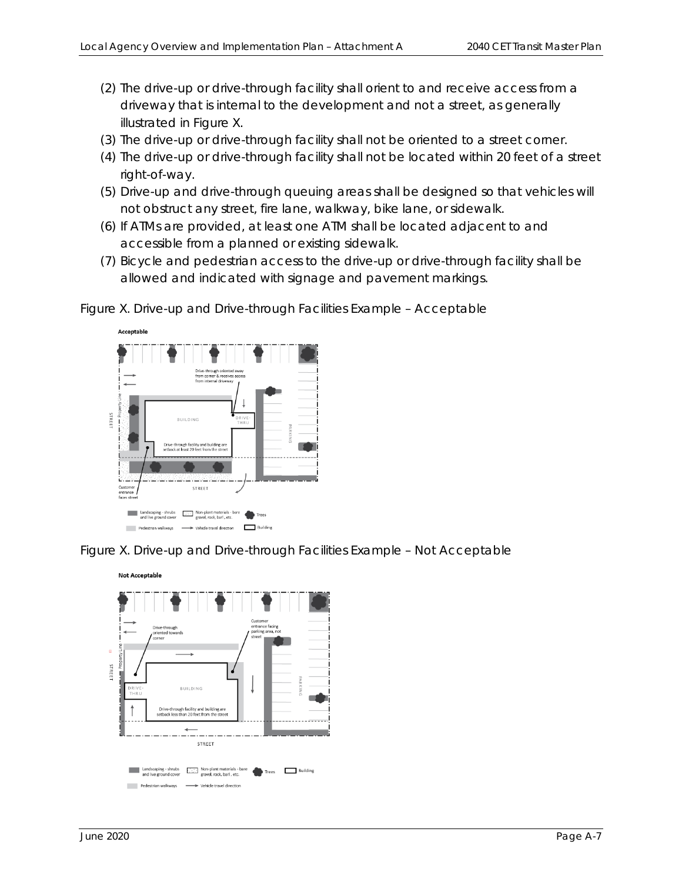- *(2) The drive-up or drive-through facility shall orient to and receive access from a driveway that is internal to the development and not a street, as generally illustrated in Figure X.*
- *(3) The drive-up or drive-through facility shall not be oriented to a street corner.*
- *(4) The drive-up or drive-through facility shall not be located within 20 feet of a street right-of-way.*
- *(5) Drive-up and drive-through queuing areas shall be designed so that vehicles will not obstruct any street, fire lane, walkway, bike lane, or sidewalk.*
- *(6) If ATMs are provided, at least one ATM shall be located adjacent to and accessible from a planned or existing sidewalk.*
- *(7) Bicycle and pedestrian access to the drive-up or drive-through facility shall be allowed and indicated with signage and pavement markings.*

*Figure X. Drive-up and Drive-through Facilities Example – Acceptable* 



*Figure X. Drive-up and Drive-through Facilities Example – Not Acceptable* 

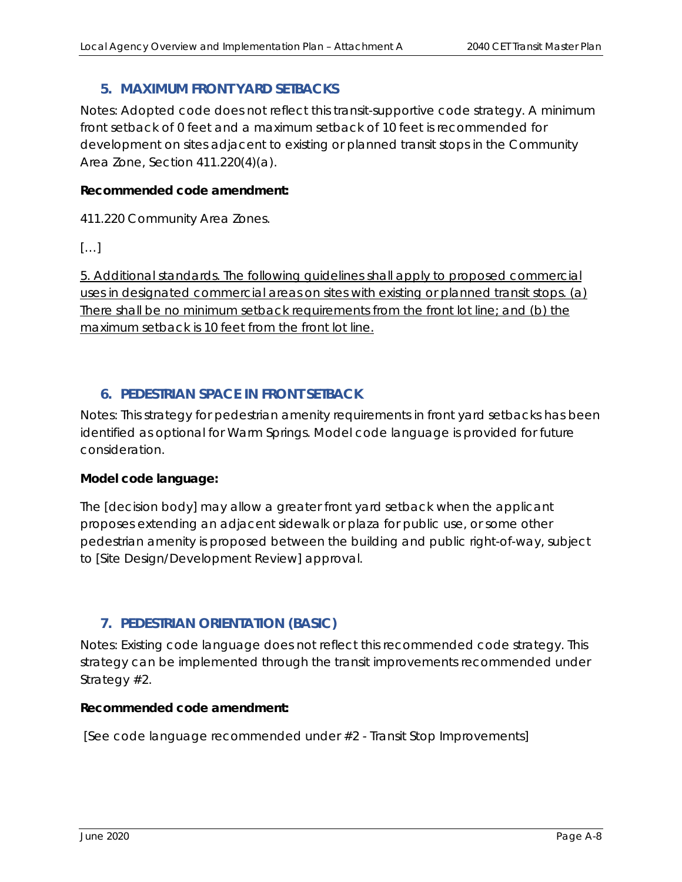# **5. MAXIMUM FRONT YARD SETBACKS**

Notes: Adopted code does not reflect this transit-supportive code strategy. A minimum front setback of 0 feet and a maximum setback of 10 feet is recommended for development on sites adjacent to existing or planned transit stops in the Community Area Zone, Section 411.220(4)(a).

#### **Recommended code amendment:**

411.220 Community Area Zones.

 $[\ldots]$ 

5. Additional standards. The following guidelines shall apply to proposed commercial uses in designated commercial areas on sites with existing or planned transit stops. (a) There shall be no minimum setback requirements from the front lot line; and (b) the maximum setback is 10 feet from the front lot line.

# **6. PEDESTRIAN SPACE IN FRONT SETBACK**

Notes: This strategy for pedestrian amenity requirements in front yard setbacks has been identified as optional for Warm Springs. Model code language is provided for future consideration.

# **Model code language:**

*The [decision body] may allow a greater front yard setback when the applicant proposes extending an adjacent sidewalk or plaza for public use, or some other pedestrian amenity is proposed between the building and public right-of-way, subject to [Site Design/Development Review] approval.* 

# **7. PEDESTRIAN ORIENTATION (BASIC)**

Notes: Existing code language does not reflect this recommended code strategy. This strategy can be implemented through the transit improvements recommended under Strategy #2.

#### **Recommended code amendment:**

*[See code language recommended under #2 - Transit Stop Improvements]*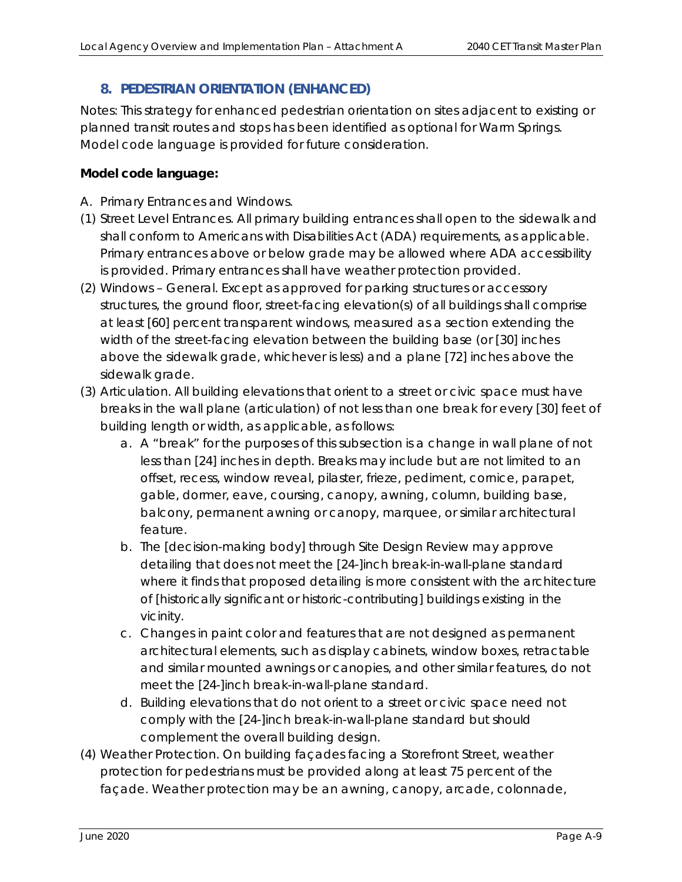# **8. PEDESTRIAN ORIENTATION (ENHANCED)**

Notes: This strategy for enhanced pedestrian orientation on sites adjacent to existing or planned transit routes and stops has been identified as optional for Warm Springs. Model code language is provided for future consideration.

# **Model code language:**

- *A. Primary Entrances and Windows.*
- *(1) Street Level Entrances. All primary building entrances shall open to the sidewalk and shall conform to Americans with Disabilities Act (ADA) requirements, as applicable. Primary entrances above or below grade may be allowed where ADA accessibility is provided. Primary entrances shall have weather protection provided.*
- *(2) Windows General. Except as approved for parking structures or accessory structures, the ground floor, street-facing elevation(s) of all buildings shall comprise at least [60] percent transparent windows, measured as a section extending the width of the street-facing elevation between the building base (or [30] inches above the sidewalk grade, whichever is less) and a plane [72] inches above the sidewalk grade.*
- *(3) Articulation. All building elevations that orient to a street or civic space must have breaks in the wall plane (articulation) of not less than one break for every [30] feet of building length or width, as applicable, as follows:* 
	- *a. A "break" for the purposes of this subsection is a change in wall plane of not*  less than [24] inches in depth. Breaks may include but are not limited to an *offset, recess, window reveal, pilaster, frieze, pediment, cornice, parapet, gable, dormer, eave, coursing, canopy, awning, column, building base, balcony, permanent awning or canopy, marquee, or similar architectural feature.*
	- *b. The [decision-making body] through Site Design Review may approve detailing that does not meet the [24-]inch break-in-wall-plane standard where it finds that proposed detailing is more consistent with the architecture of [historically significant or historic-contributing] buildings existing in the vicinity.*
	- *c. Changes in paint color and features that are not designed as permanent architectural elements, such as display cabinets, window boxes, retractable and similar mounted awnings or canopies, and other similar features, do not meet the [24-]inch break-in-wall-plane standard.*
	- *d. Building elevations that do not orient to a street or civic space need not comply with the [24-]inch break-in-wall-plane standard but should complement the overall building design.*
- *(4) Weather Protection. On building façades facing a Storefront Street, weather protection for pedestrians must be provided along at least 75 percent of the façade. Weather protection may be an awning, canopy, arcade, colonnade,*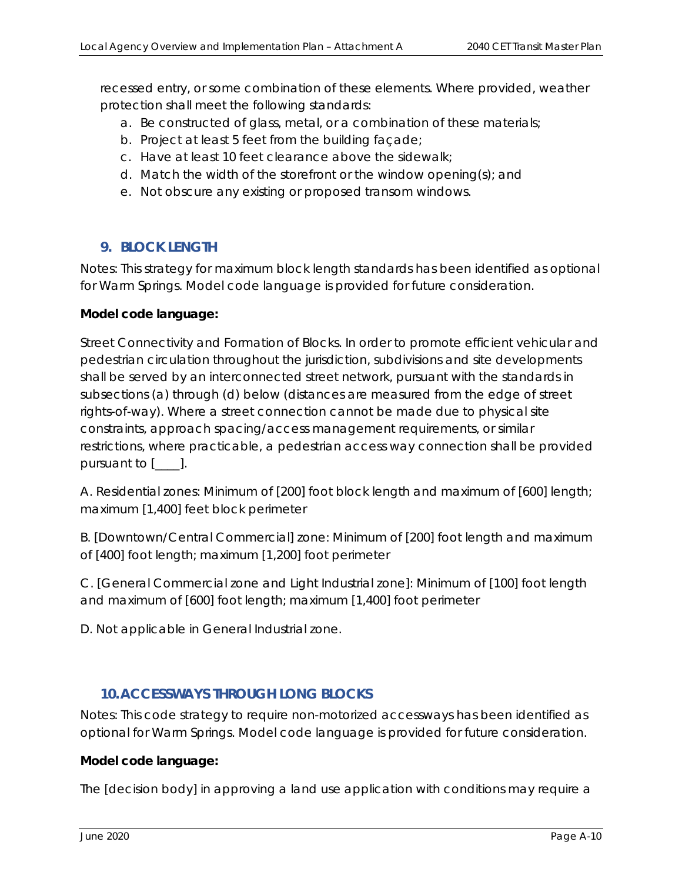recessed entry, or some combination of these elements. Where provided, weather *protection shall meet the following standards:* 

- *a. Be constructed of glass, metal, or a combination of these materials;*
- *b. Project at least 5 feet from the building façade;*
- *c. Have at least 10 feet clearance above the sidewalk;*
- *d. Match the width of the storefront or the window opening(s); and*
- *e. Not obscure any existing or proposed transom windows.*

# **9. BLOCK LENGTH**

Notes: This strategy for maximum block length standards has been identified as optional for Warm Springs. Model code language is provided for future consideration.

#### **Model code language:**

*Street Connectivity and Formation of Blocks. In order to promote efficient vehicular and pedestrian circulation throughout the jurisdiction, subdivisions and site developments shall be served by an interconnected street network, pursuant with the standards in subsections (a) through (d) below (distances are measured from the edge of street rights-of-way). Where a street connection cannot be made due to physical site constraints, approach spacing/access management requirements, or similar restrictions, where practicable, a pedestrian access way connection shall be provided pursuant to [\_\_\_\_].* 

*A. Residential zones: Minimum of [200] foot block length and maximum of [600] length; maximum [1,400] feet block perimeter* 

*B. [Downtown/Central Commercial] zone: Minimum of [200] foot length and maximum of [400] foot length; maximum [1,200] foot perimeter* 

*C. [General Commercial zone and Light Industrial zone]: Minimum of [100] foot length and maximum of [600] foot length; maximum [1,400] foot perimeter* 

*D. Not applicable in General Industrial zone.* 

# **10.ACCESSWAYS THROUGH LONG BLOCKS**

Notes: This code strategy to require non-motorized accessways has been identified as optional for Warm Springs. Model code language is provided for future consideration.

#### **Model code language:**

*The [decision body] in approving a land use application with conditions may require a*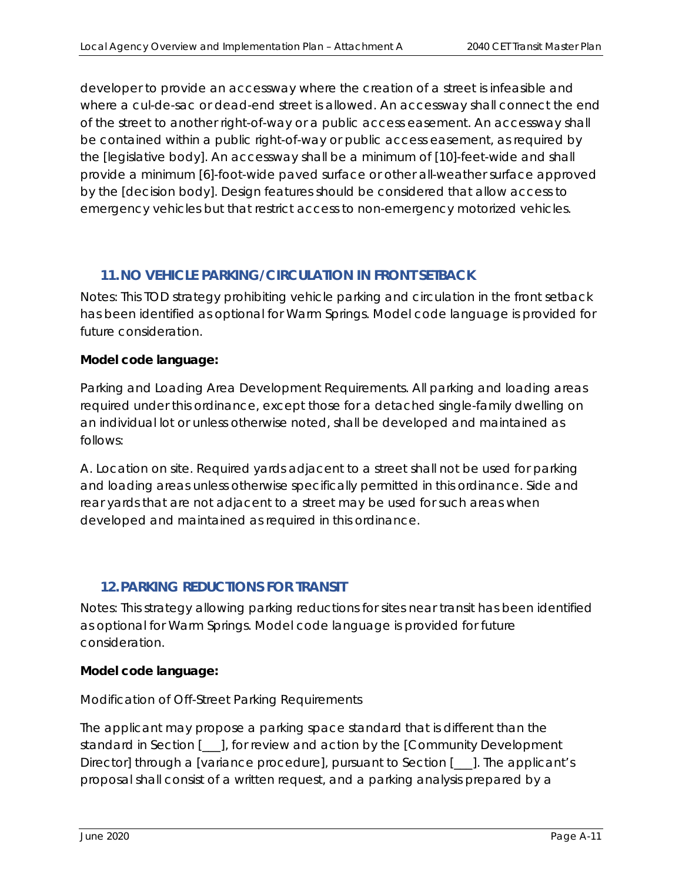*developer to provide an accessway where the creation of a street is infeasible and where a cul-de-sac or dead-end street is allowed. An accessway shall connect the end of the street to another right-of-way or a public access easement. An accessway shall be contained within a public right-of-way or public access easement, as required by the [legislative body]. An accessway shall be a minimum of [10]-feet-wide and shall provide a minimum [6]-foot-wide paved surface or other all-weather surface approved by the [decision body]. Design features should be considered that allow access to emergency vehicles but that restrict access to non-emergency motorized vehicles.* 

# **11.NO VEHICLE PARKING/CIRCULATION IN FRONT SETBACK**

Notes: This TOD strategy prohibiting vehicle parking and circulation in the front setback has been identified as optional for Warm Springs. Model code language is provided for future consideration.

#### **Model code language:**

*Parking and Loading Area Development Requirements. All parking and loading areas required under this ordinance, except those for a detached single-family dwelling on an individual lot or unless otherwise noted, shall be developed and maintained as follows:* 

*A. Location on site. Required yards adjacent to a street shall not be used for parking and loading areas unless otherwise specifically permitted in this ordinance. Side and*  rear yards that are not adjacent to a street may be used for such areas when *developed and maintained as required in this ordinance.* 

# **12.PARKING REDUCTIONS FOR TRANSIT**

Notes*:* This strategy allowing parking reductions for sites near transit has been identified as optional for Warm Springs. Model code language is provided for future consideration.

# **Model code language:**

# *Modification of Off-Street Parking Requirements*

*The applicant may propose a parking space standard that is different than the standard in Section [\_\_\_], for review and action by the [Community Development Director] through a [variance procedure], pursuant to Section [\_\_\_]. The applicant's proposal shall consist of a written request, and a parking analysis prepared by a*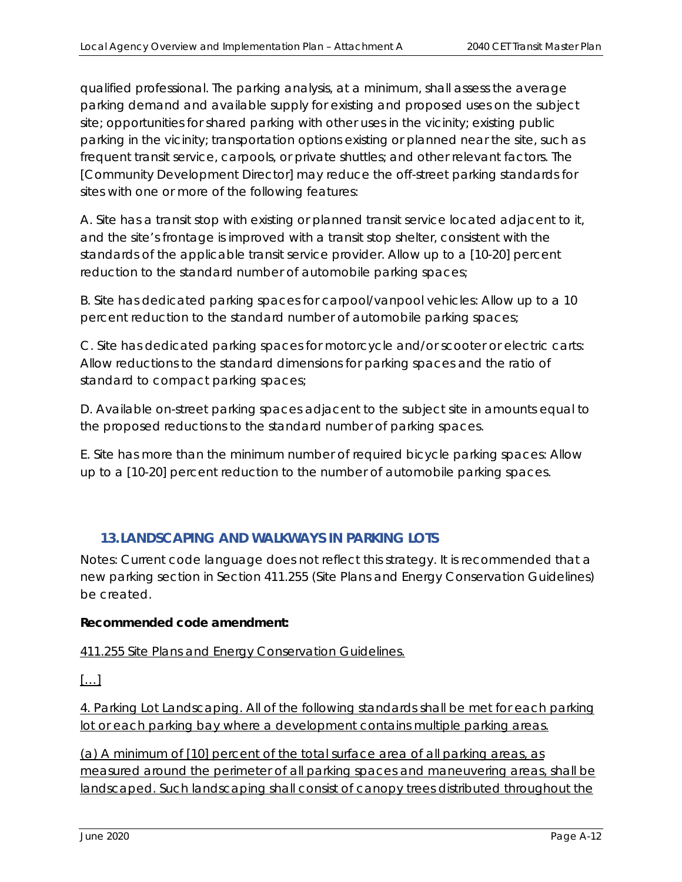*qualified professional. The parking analysis, at a minimum, shall assess the average parking demand and available supply for existing and proposed uses on the subject site; opportunities for shared parking with other uses in the vicinity; existing public parking in the vicinity; transportation options existing or planned near the site, such as frequent transit service, carpools, or private shuttles; and other relevant factors. The [Community Development Director] may reduce the off-street parking standards for sites with one or more of the following features:* 

*A. Site has a transit stop with existing or planned transit service located adjacent to it, and the site's frontage is improved with a transit stop shelter, consistent with the standards of the applicable transit service provider. Allow up to a [10-20] percent reduction to the standard number of automobile parking spaces;* 

*B. Site has dedicated parking spaces for carpool/vanpool vehicles: Allow up to a 10 percent reduction to the standard number of automobile parking spaces;* 

*C. Site has dedicated parking spaces for motorcycle and/or scooter or electric carts: Allow reductions to the standard dimensions for parking spaces and the ratio of standard to compact parking spaces;* 

*D. Available on-street parking spaces adjacent to the subject site in amounts equal to the proposed reductions to the standard number of parking spaces.* 

*E. Site has more than the minimum number of required bicycle parking spaces: Allow up to a [10-20] percent reduction to the number of automobile parking spaces.* 

# **13.LANDSCAPING AND WALKWAYS IN PARKING LOTS**

Notes: Current code language does not reflect this strategy. It is recommended that a new parking section in Section 411.255 (Site Plans and Energy Conservation Guidelines) be created.

# **Recommended code amendment:**

411.255 Site Plans and Energy Conservation Guidelines.

 $[...]$ 

4. Parking Lot Landscaping. All of the following standards shall be met for each parking lot or each parking bay where a development contains multiple parking areas.

(a) A minimum of [10] percent of the total surface area of all parking areas, as measured around the perimeter of all parking spaces and maneuvering areas, shall be landscaped. Such landscaping shall consist of canopy trees distributed throughout the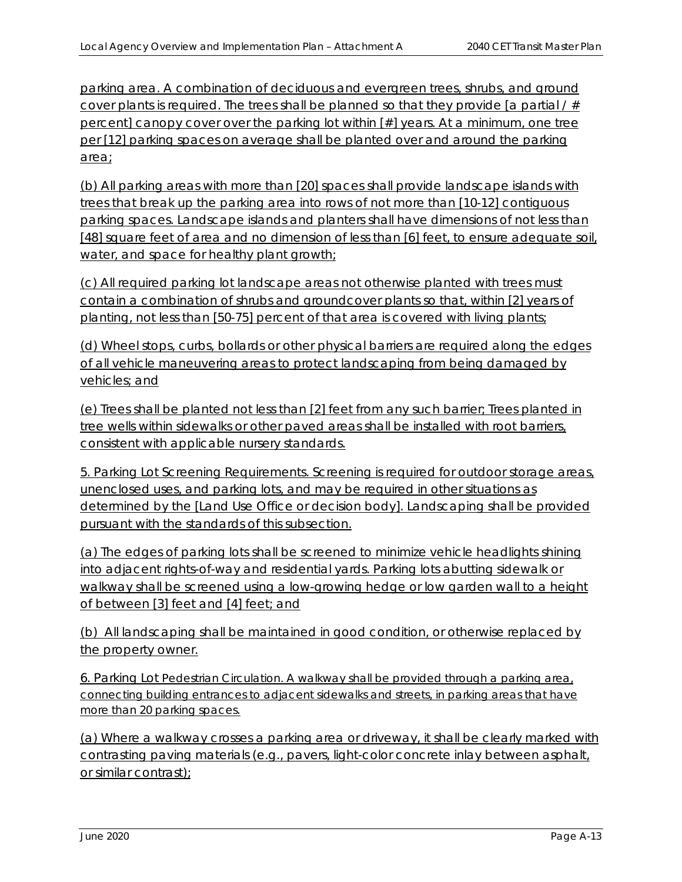parking area. A combination of deciduous and evergreen trees, shrubs, and ground cover plants is required. The trees shall be planned so that they provide [a partial  $/#$ percent] canopy cover over the parking lot within [#] years. At a minimum, one tree per [12] parking spaces on average shall be planted over and around the parking area;

(b) All parking areas with more than [20] spaces shall provide landscape islands with trees that break up the parking area into rows of not more than [10-12] contiguous parking spaces. Landscape islands and planters shall have dimensions of not less than [48] square feet of area and no dimension of less than [6] feet, to ensure adequate soil, water, and space for healthy plant growth;

(c) All required parking lot landscape areas not otherwise planted with trees must contain a combination of shrubs and groundcover plants so that, within [2] years of planting, not less than [50-75] percent of that area is covered with living plants;

(d) Wheel stops, curbs, bollards or other physical barriers are required along the edges of all vehicle maneuvering areas to protect landscaping from being damaged by vehicles; and

(e) Trees shall be planted not less than [2] feet from any such barrier; Trees planted in tree wells within sidewalks or other paved areas shall be installed with root barriers, consistent with applicable nursery standards.

5. Parking Lot Screening Requirements. Screening is required for outdoor storage areas, unenclosed uses, and parking lots, and may be required in other situations as determined by the [Land Use Office or decision body]. Landscaping shall be provided pursuant with the standards of this subsection.

(a) The edges of parking lots shall be screened to minimize vehicle headlights shining into adjacent rights-of-way and residential yards. Parking lots abutting sidewalk or walkway shall be screened using a low-growing hedge or low garden wall to a height of between [3] feet and [4] feet; and

(b) All landscaping shall be maintained in good condition, or otherwise replaced by the property owner.

6. Parking Lot Pedestrian Circulation. A walkway shall be provided through a parking area, connecting building entrances to adjacent sidewalks and streets, in parking areas that have more than 20 parking spaces.

(a) Where a walkway crosses a parking area or driveway, it shall be clearly marked with contrasting paving materials (e.g., pavers, light-color concrete inlay between asphalt, or similar contrast);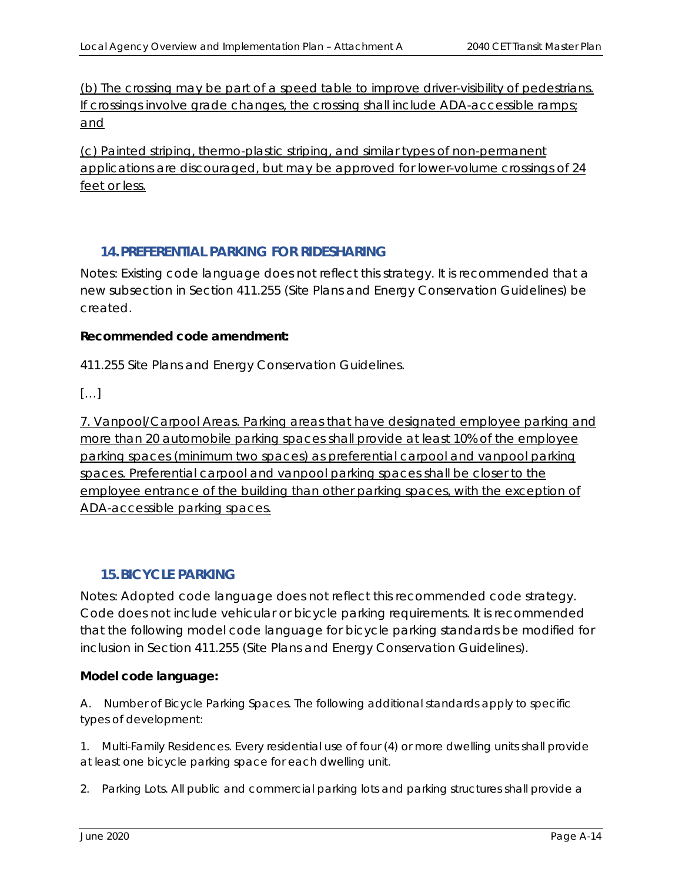(b) The crossing may be part of a speed table to improve driver-visibility of pedestrians. If crossings involve grade changes, the crossing shall include ADA-accessible ramps; and

(c) Painted striping, thermo-plastic striping, and similar types of non-permanent applications are discouraged, but may be approved for lower-volume crossings of 24 feet or less.

# **14.PREFERENTIAL PARKING FOR RIDESHARING**

Notes: Existing code language does not reflect this strategy. It is recommended that a new subsection in Section 411.255 (Site Plans and Energy Conservation Guidelines) be created.

#### **Recommended code amendment:**

*411.255 Site Plans and Energy Conservation Guidelines.* 

*[…]* 

7. Vanpool/Carpool Areas. Parking areas that have designated employee parking and more than 20 automobile parking spaces shall provide at least 10% of the employee parking spaces (minimum two spaces) as preferential carpool and vanpool parking spaces. Preferential carpool and vanpool parking spaces shall be closer to the employee entrance of the building than other parking spaces, with the exception of ADA-accessible parking spaces.

# **15.BICYCLE PARKING**

Notes: Adopted code language does not reflect this recommended code strategy. Code does not include vehicular or bicycle parking requirements. It is recommended that the following model code language for bicycle parking standards be modified for inclusion in Section 411.255 (Site Plans and Energy Conservation Guidelines).

# **Model code language:**

*A. Number of Bicycle Parking Spaces. The following additional standards apply to specific types of development:* 

*1. Multi-Family Residences. Every residential use of four (4) or more dwelling units shall provide at least one bicycle parking space for each dwelling unit.* 

*2. Parking Lots. All public and commercial parking lots and parking structures shall provide a*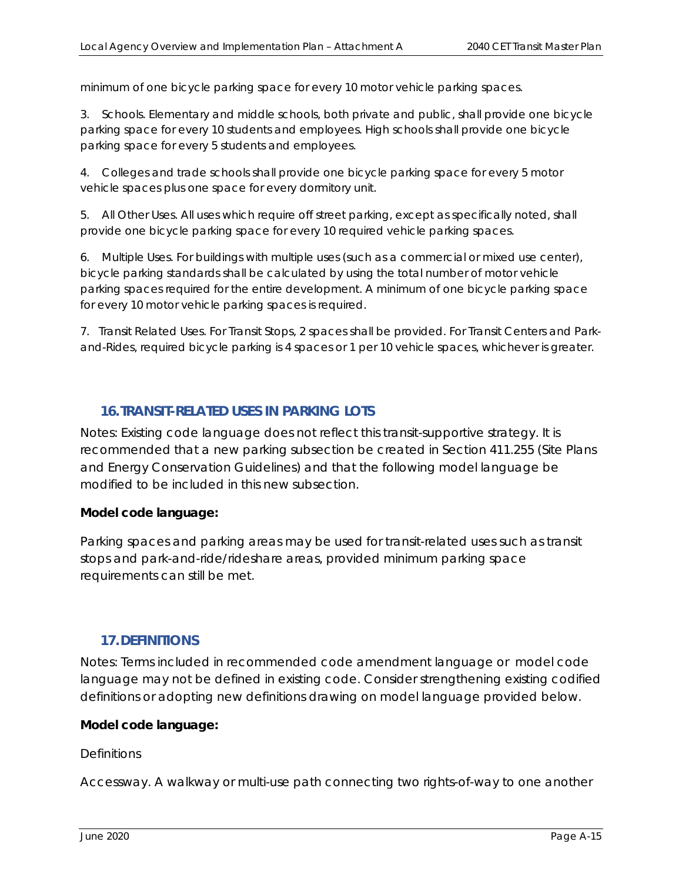*minimum of one bicycle parking space for every 10 motor vehicle parking spaces.* 

*3. Schools. Elementary and middle schools, both private and public, shall provide one bicycle parking space for every 10 students and employees. High schools shall provide one bicycle parking space for every 5 students and employees.* 

*4. Colleges and trade schools shall provide one bicycle parking space for every 5 motor vehicle spaces plus one space for every dormitory unit.* 

*5. All Other Uses. All uses which require off street parking, except as specifically noted, shall provide one bicycle parking space for every 10 required vehicle parking spaces.* 

*6. Multiple Uses. For buildings with multiple uses (such as a commercial or mixed use center), bicycle parking standards shall be calculated by using the total number of motor vehicle parking spaces required for the entire development. A minimum of one bicycle parking space for every 10 motor vehicle parking spaces is required.* 

*7. Transit Related Uses. For Transit Stops, 2 spaces shall be provided. For Transit Centers and Parkand-Rides, required bicycle parking is 4 spaces or 1 per 10 vehicle spaces, whichever is greater.* 

# **16.TRANSIT-RELATED USES IN PARKING LOTS**

Notes: Existing code language does not reflect this transit-supportive strategy. It is recommended that a new parking subsection be created in Section 411.255 (Site Plans and Energy Conservation Guidelines) and that the following model language be modified to be included in this new subsection.

# **Model code language:**

*Parking spaces and parking areas may be used for transit-related uses such as transit stops and park-and-ride/rideshare areas, provided minimum parking space requirements can still be met.* 

# **17.DEFINITIONS**

Notes: Terms included in recommended code amendment language or model code language may not be defined in existing code. Consider strengthening existing codified definitions or adopting new definitions drawing on model language provided below.

#### **Model code language:**

#### *Definitions*

*Accessway. A walkway or multi-use path connecting two rights-of-way to one another*